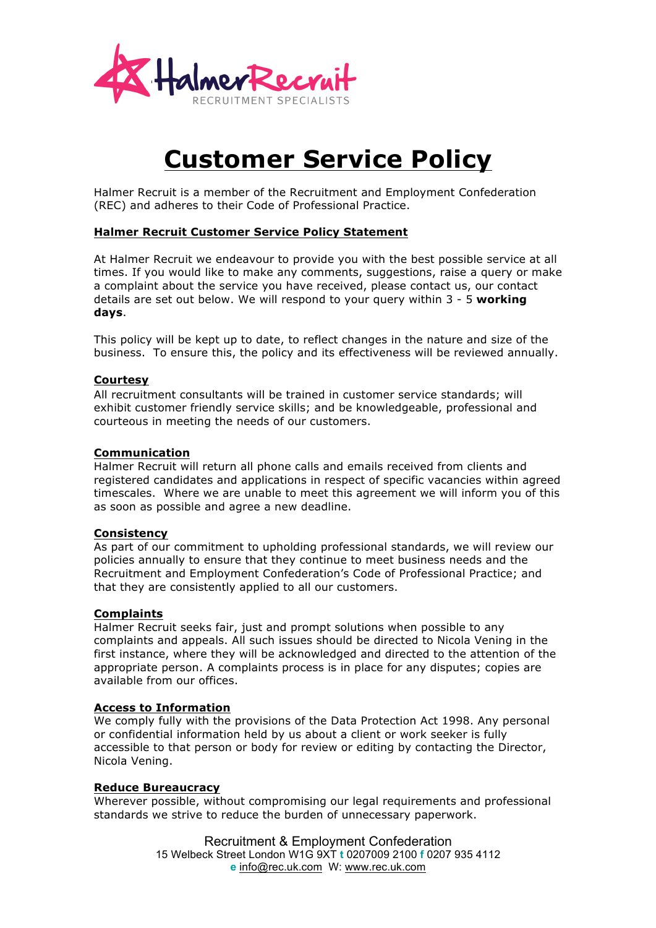

# **Customer Service Policy**

Halmer Recruit is a member of the Recruitment and Employment Confederation (REC) and adheres to their Code of Professional Practice.

# **Halmer Recruit Customer Service Policy Statement**

At Halmer Recruit we endeavour to provide you with the best possible service at all times. If you would like to make any comments, suggestions, raise a query or make a complaint about the service you have received, please contact us, our contact details are set out below. We will respond to your query within 3 - 5 **working days**.

This policy will be kept up to date, to reflect changes in the nature and size of the business. To ensure this, the policy and its effectiveness will be reviewed annually.

# **Courtesy**

All recruitment consultants will be trained in customer service standards; will exhibit customer friendly service skills; and be knowledgeable, professional and courteous in meeting the needs of our customers.

# **Communication**

Halmer Recruit will return all phone calls and emails received from clients and registered candidates and applications in respect of specific vacancies within agreed timescales. Where we are unable to meet this agreement we will inform you of this as soon as possible and agree a new deadline.

### **Consistency**

As part of our commitment to upholding professional standards, we will review our policies annually to ensure that they continue to meet business needs and the Recruitment and Employment Confederation's Code of Professional Practice; and that they are consistently applied to all our customers.

# **Complaints**

Halmer Recruit seeks fair, just and prompt solutions when possible to any complaints and appeals. All such issues should be directed to Nicola Vening in the first instance, where they will be acknowledged and directed to the attention of the appropriate person. A complaints process is in place for any disputes; copies are available from our offices.

### **Access to Information**

We comply fully with the provisions of the Data Protection Act 1998. Any personal or confidential information held by us about a client or work seeker is fully accessible to that person or body for review or editing by contacting the Director, Nicola Vening.

### **Reduce Bureaucracy**

Wherever possible, without compromising our legal requirements and professional standards we strive to reduce the burden of unnecessary paperwork.

> Recruitment & Employment Confederation 15 Welbeck Street London W1G 9XT **t** 0207009 2100 **f** 0207 935 4112 **e** info@rec.uk.com W: www.rec.uk.com